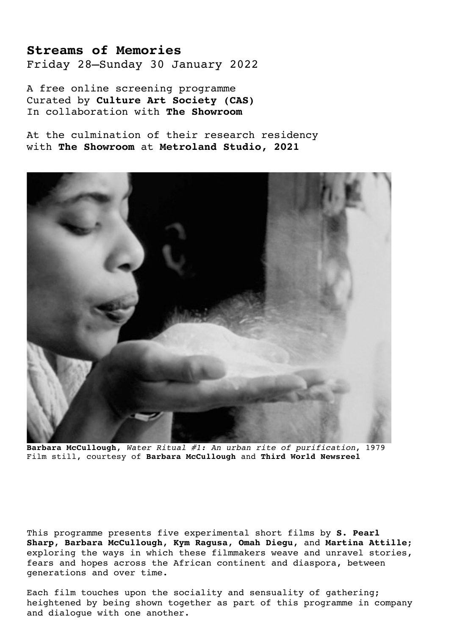## **Streams of Memories**

Friday 28–Sunday 30 January 2022

A free online screening programme Curated by **Culture Art Society (CAS)** In collaboration with **The Showroom**

At the culmination of their research residency with **The Showroom** at **Metroland Studio, 2021**



**Barbara McCullough**, *Water Ritual #1: An urban rite of purification*, 1979 Film still, courtesy of **Barbara McCullough** and **Third World Newsreel**

This programme presents five experimental short films by **S. Pearl Sharp**, **Barbara McCullough**, **Kym Ragusa**, **Omah Diegu**, and **Martina Attille**; exploring the ways in which these filmmakers weave and unravel stories, fears and hopes across the African continent and diaspora, between generations and over time.

Each film touches upon the sociality and sensuality of gathering; heightened by being shown together as part of this programme in company and dialogue with one another.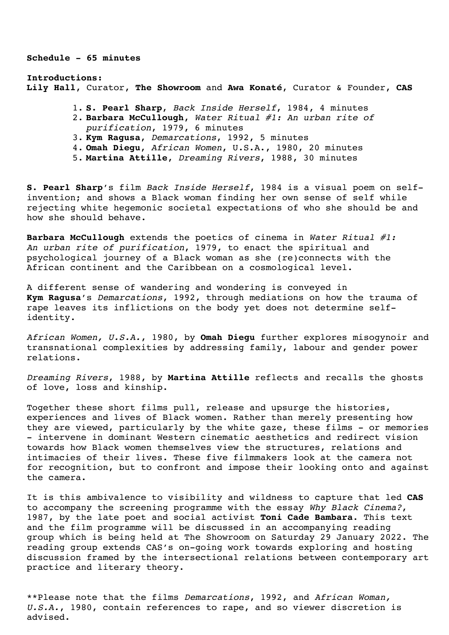**Schedule - 65 minutes**

**Introductions: Lily Hall**, Curator, **The Showroom** and **Awa Konaté**, Curator & Founder, **CAS**

- 1. **S. Pearl Sharp**, *Back Inside Herself*, 1984, 4 minutes
- 2. **Barbara McCullough**, *Water Ritual #1: An urban rite of purification*, 1979, 6 minutes
- 3. **Kym Ragusa**, *Demarcations*, 1992, 5 minutes
- 4. **Omah Diegu**, *African Women*, U.S.A., 1980, 20 minutes
- 5. **Martina Attille**, *Dreaming Rivers*, 1988, 30 minutes

**S. Pearl Sharp**'s film *Back Inside Herself*, 1984 is a visual poem on selfinvention; and shows a Black woman finding her own sense of self while rejecting white hegemonic societal expectations of who she should be and how she should behave.

**Barbara McCullough** extends the poetics of cinema in *Water Ritual #1: An urban rite of purification*, 1979, to enact the spiritual and psychological journey of a Black woman as she (re)connects with the African continent and the Caribbean on a cosmological level.

A different sense of wandering and wondering is conveyed in **Kym Ragusa**'s *Demarcations*, 1992, through mediations on how the trauma of rape leaves its inflictions on the body yet does not determine selfidentity.

*African Women, U.S.A.*, 1980, by **Omah Diegu** further explores misogynoir and transnational complexities by addressing family, labour and gender power relations.

*Dreaming Rivers*, 1988, by **Martina Attille** reflects and recalls the ghosts of love, loss and kinship.

Together these short films pull, release and upsurge the histories, experiences and lives of Black women. Rather than merely presenting how they are viewed, particularly by the white gaze, these films - or memories - intervene in dominant Western cinematic aesthetics and redirect vision towards how Black women themselves view the structures, relations and intimacies of their lives. These five filmmakers look at the camera not for recognition, but to confront and impose their looking onto and against the camera.

It is this ambivalence to visibility and wildness to capture that led **CAS** to accompany the screening programme with the essay *Why Black Cinema?*, 1987, by the late poet and social activist **Toni Cade Bambara**. This text and the film programme will be discussed in an accompanying reading group which is being held at The Showroom on Saturday 29 January 2022. The reading group extends CAS's on-going work towards exploring and hosting discussion framed by the intersectional relations between contemporary art practice and literary theory.

\*\*Please note that the films *Demarcations*, 1992, and *African Woman, U.S.A.*, 1980, contain references to rape, and so viewer discretion is advised.